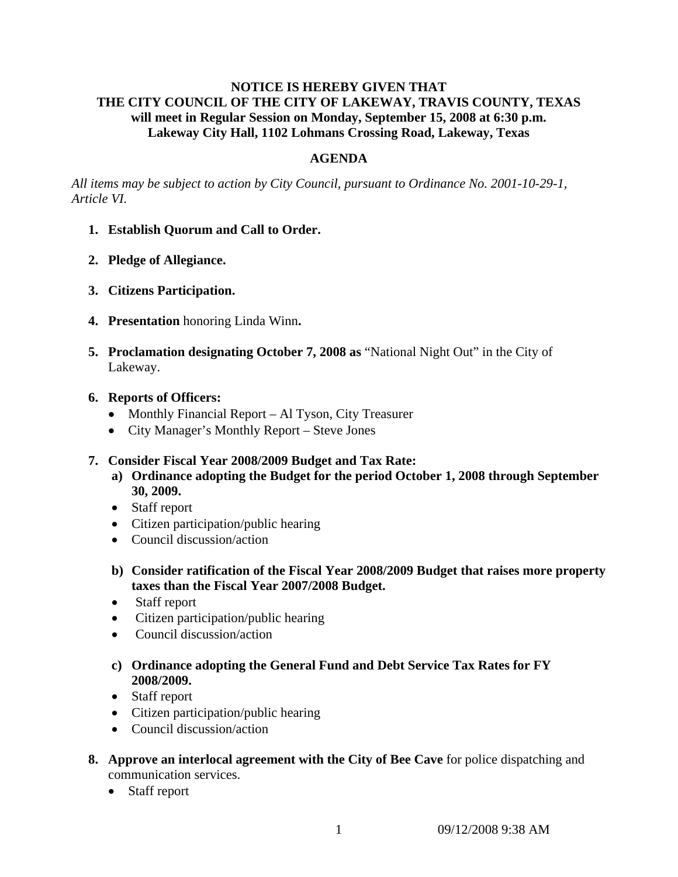# **NOTICE IS HEREBY GIVEN THAT THE CITY COUNCIL OF THE CITY OF LAKEWAY, TRAVIS COUNTY, TEXAS will meet in Regular Session on Monday, September 15, 2008 at 6:30 p.m. Lakeway City Hall, 1102 Lohmans Crossing Road, Lakeway, Texas**

## **AGENDA**

*All items may be subject to action by City Council, pursuant to Ordinance No. 2001-10-29-1, Article VI.* 

- **1. Establish Quorum and Call to Order.**
- **2. Pledge of Allegiance.**
- **3. Citizens Participation.**
- **4. Presentation** honoring Linda Winn**.**
- **5. Proclamation designating October 7, 2008 as** "National Night Out" in the City of Lakeway.
- **6. Reports of Officers:**
	- Monthly Financial Report Al Tyson, City Treasurer
	- City Manager's Monthly Report Steve Jones

### **7. Consider Fiscal Year 2008/2009 Budget and Tax Rate:**

- **a) Ordinance adopting the Budget for the period October 1, 2008 through September 30, 2009.**
- Staff report
- Citizen participation/public hearing
- Council discussion/action
- **b) Consider ratification of the Fiscal Year 2008/2009 Budget that raises more property taxes than the Fiscal Year 2007/2008 Budget.**
- Staff report
- Citizen participation/public hearing
- Council discussion/action
- **c) Ordinance adopting the General Fund and Debt Service Tax Rates for FY 2008/2009.**
- Staff report
- Citizen participation/public hearing
- Council discussion/action
- **8. Approve an interlocal agreement with the City of Bee Cave** for police dispatching and communication services.
	- Staff report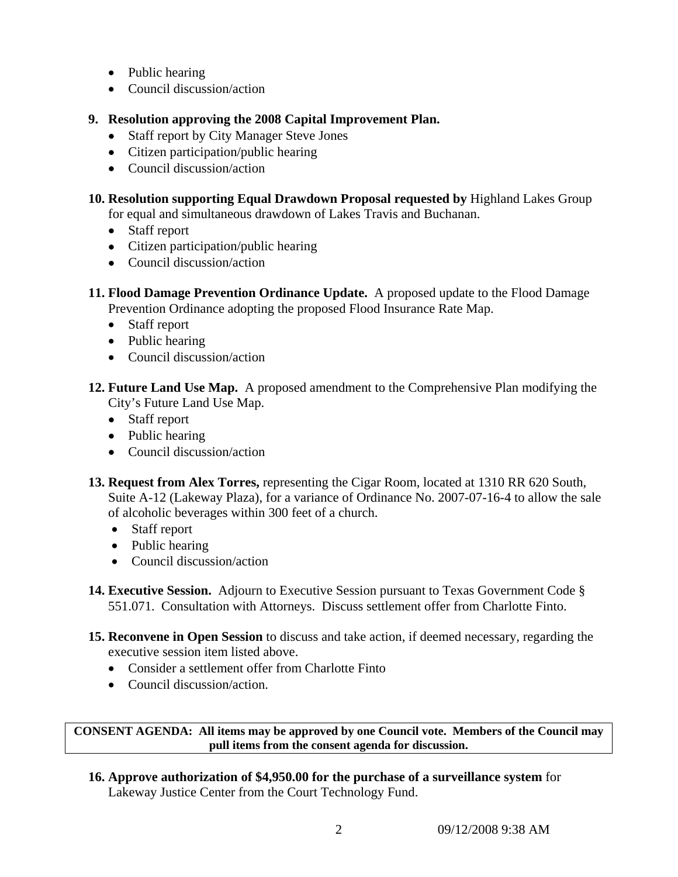- Public hearing
- Council discussion/action
- **9. Resolution approving the 2008 Capital Improvement Plan.**
	- Staff report by City Manager Steve Jones
	- Citizen participation/public hearing
	- Council discussion/action

**10. Resolution supporting Equal Drawdown Proposal requested by** Highland Lakes Group for equal and simultaneous drawdown of Lakes Travis and Buchanan.

- Staff report
- Citizen participation/public hearing
- Council discussion/action
- **11. Flood Damage Prevention Ordinance Update.** A proposed update to the Flood Damage Prevention Ordinance adopting the proposed Flood Insurance Rate Map.
	- Staff report
	- Public hearing
	- Council discussion/action
- **12. Future Land Use Map.** A proposed amendment to the Comprehensive Plan modifying the City's Future Land Use Map.
	- Staff report
	- Public hearing
	- Council discussion/action
- **13. Request from Alex Torres,** representing the Cigar Room, located at 1310 RR 620 South, Suite A-12 (Lakeway Plaza), for a variance of Ordinance No. 2007-07-16-4 to allow the sale of alcoholic beverages within 300 feet of a church.
	- Staff report
	- Public hearing
	- Council discussion/action
- **14. Executive Session.** Adjourn to Executive Session pursuant to Texas Government Code § 551.071. Consultation with Attorneys. Discuss settlement offer from Charlotte Finto.
- **15. Reconvene in Open Session** to discuss and take action, if deemed necessary, regarding the executive session item listed above.
	- Consider a settlement offer from Charlotte Finto
	- Council discussion/action.

**CONSENT AGENDA: All items may be approved by one Council vote. Members of the Council may pull items from the consent agenda for discussion.** 

**16. Approve authorization of \$4,950.00 for the purchase of a surveillance system** for Lakeway Justice Center from the Court Technology Fund.